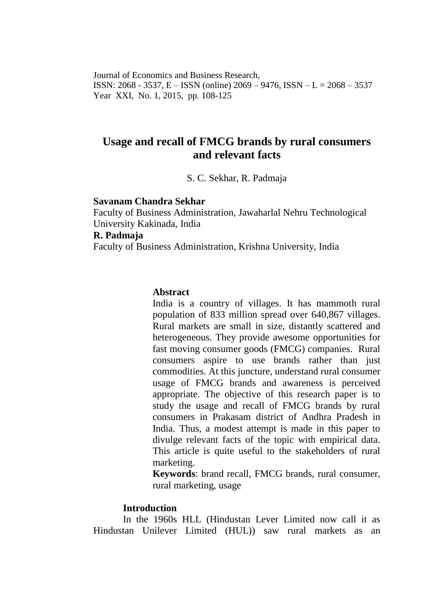Journal of Economics and Business Research, ISSN: 2068 - 3537, E – ISSN (online) 2069 – 9476, ISSN – L = 2068 – 3537 Year XXI, No. 1, 2015, pp. 108-125

# **Usage and recall of FMCG brands by rural consumers and relevant facts**

S. C. Sekhar, R. Padmaja

#### **Savanam Chandra Sekhar**

Faculty of Business Administration, Jawaharlal Nehru Technological University Kakinada, India **R. Padmaja** Faculty of Business Administration, Krishna University, India

### **Abstract**

India is a country of villages. It has mammoth rural population of 833 million spread over 640,867 villages. Rural markets are small in size, distantly scattered and heterogeneous. They provide awesome opportunities for fast moving consumer goods (FMCG) companies. Rural consumers aspire to use brands rather than just commodities. At this juncture, understand rural consumer usage of FMCG brands and awareness is perceived appropriate. The objective of this research paper is to study the usage and recall of FMCG brands by rural consumers in Prakasam district of Andhra Pradesh in India. Thus, a modest attempt is made in this paper to divulge relevant facts of the topic with empirical data. This article is quite useful to the stakeholders of rural marketing.

**Keywords**: brand recall, FMCG brands, rural consumer, rural marketing, usage

### **Introduction**

In the 1960s HLL (Hindustan Lever Limited now call it as Hindustan Unilever Limited (HUL)) saw rural markets as an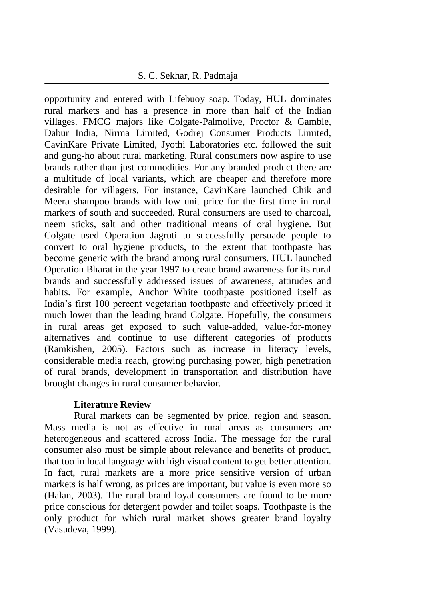### 8 S. C. Sekhar, R. Padmaja

opportunity and entered with Lifebuoy soap. Today, HUL dominates rural markets and has a presence in more than half of the Indian villages. FMCG majors like Colgate-Palmolive, Proctor & Gamble, Dabur India, Nirma Limited, Godrej Consumer Products Limited, CavinKare Private Limited, Jyothi Laboratories etc. followed the suit and gung-ho about rural marketing. Rural consumers now aspire to use brands rather than just commodities. For any branded product there are a multitude of local variants, which are cheaper and therefore more desirable for villagers. For instance, CavinKare launched Chik and Meera shampoo brands with low unit price for the first time in rural markets of south and succeeded. Rural consumers are used to charcoal, neem sticks, salt and other traditional means of oral hygiene. But Colgate used Operation Jagruti to successfully persuade people to convert to oral hygiene products, to the extent that toothpaste has become generic with the brand among rural consumers. HUL launched Operation Bharat in the year 1997 to create brand awareness for its rural brands and successfully addressed issues of awareness, attitudes and habits. For example, Anchor White toothpaste positioned itself as India's first 100 percent vegetarian toothpaste and effectively priced it much lower than the leading brand Colgate. Hopefully, the consumers in rural areas get exposed to such value-added, value-for-money alternatives and continue to use different categories of products (Ramkishen, 2005). Factors such as increase in literacy levels, considerable media reach, growing purchasing power, high penetration of rural brands, development in transportation and distribution have brought changes in rural consumer behavior.

### **Literature Review**

Rural markets can be segmented by price, region and season. Mass media is not as effective in rural areas as consumers are heterogeneous and scattered across India. The message for the rural consumer also must be simple about relevance and benefits of product, that too in local language with high visual content to get better attention. In fact, rural markets are a more price sensitive version of urban markets is half wrong, as prices are important, but value is even more so (Halan, 2003). The rural brand loyal consumers are found to be more price conscious for detergent powder and toilet soaps. Toothpaste is the only product for which rural market shows greater brand loyalty (Vasudeva, 1999).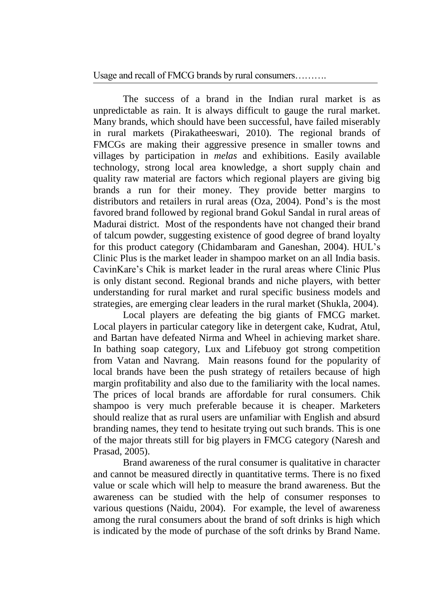The success of a brand in the Indian rural market is as unpredictable as rain. It is always difficult to gauge the rural market. Many brands, which should have been successful, have failed miserably in rural markets (Pirakatheeswari, 2010). The regional brands of FMCGs are making their aggressive presence in smaller towns and villages by participation in *melas* and exhibitions. Easily available technology, strong local area knowledge, a short supply chain and quality raw material are factors which regional players are giving big brands a run for their money. They provide better margins to distributors and retailers in rural areas (Oza, 2004). Pond's is the most favored brand followed by regional brand Gokul Sandal in rural areas of Madurai district. Most of the respondents have not changed their brand of talcum powder, suggesting existence of good degree of brand loyalty for this product category (Chidambaram and Ganeshan, 2004). HUL's Clinic Plus is the market leader in shampoo market on an all India basis. CavinKare's Chik is market leader in the rural areas where Clinic Plus is only distant second. Regional brands and niche players, with better understanding for rural market and rural specific business models and strategies, are emerging clear leaders in the rural market (Shukla, 2004).

Local players are defeating the big giants of FMCG market. Local players in particular category like in detergent cake, Kudrat, Atul, and Bartan have defeated Nirma and Wheel in achieving market share. In bathing soap category, Lux and Lifebuoy got strong competition from Vatan and Navrang. Main reasons found for the popularity of local brands have been the push strategy of retailers because of high margin profitability and also due to the familiarity with the local names. The prices of local brands are affordable for rural consumers. Chik shampoo is very much preferable because it is cheaper. Marketers should realize that as rural users are unfamiliar with English and absurd branding names, they tend to hesitate trying out such brands. This is one of the major threats still for big players in FMCG category (Naresh and Prasad, 2005).

Brand awareness of the rural consumer is qualitative in character and cannot be measured directly in quantitative terms. There is no fixed value or scale which will help to measure the brand awareness. But the awareness can be studied with the help of consumer responses to various questions (Naidu, 2004). For example, the level of awareness among the rural consumers about the brand of soft drinks is high which is indicated by the mode of purchase of the soft drinks by Brand Name.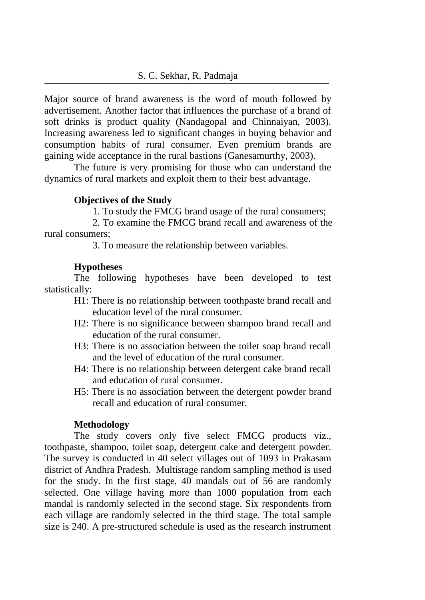Major source of brand awareness is the word of mouth followed by advertisement. Another factor that influences the purchase of a brand of soft drinks is product quality (Nandagopal and Chinnaiyan, 2003). Increasing awareness led to significant changes in buying behavior and consumption habits of rural consumer. Even premium brands are gaining wide acceptance in the rural bastions (Ganesamurthy, 2003).

The future is very promising for those who can understand the dynamics of rural markets and exploit them to their best advantage.

### **Objectives of the Study**

1. To study the FMCG brand usage of the rural consumers;

2. To examine the FMCG brand recall and awareness of the rural consumers;

3. To measure the relationship between variables.

### **Hypotheses**

The following hypotheses have been developed to test statistically:

- H1: There is no relationship between toothpaste brand recall and education level of the rural consumer.
- H2: There is no significance between shampoo brand recall and education of the rural consumer.
- H3: There is no association between the toilet soap brand recall and the level of education of the rural consumer.
- H4: There is no relationship between detergent cake brand recall and education of rural consumer.
- H5: There is no association between the detergent powder brand recall and education of rural consumer.

### **Methodology**

The study covers only five select FMCG products viz., toothpaste, shampoo, toilet soap, detergent cake and detergent powder. The survey is conducted in 40 select villages out of 1093 in Prakasam district of Andhra Pradesh. Multistage random sampling method is used for the study. In the first stage, 40 mandals out of 56 are randomly selected. One village having more than 1000 population from each mandal is randomly selected in the second stage. Six respondents from each village are randomly selected in the third stage. The total sample size is 240. A pre-structured schedule is used as the research instrument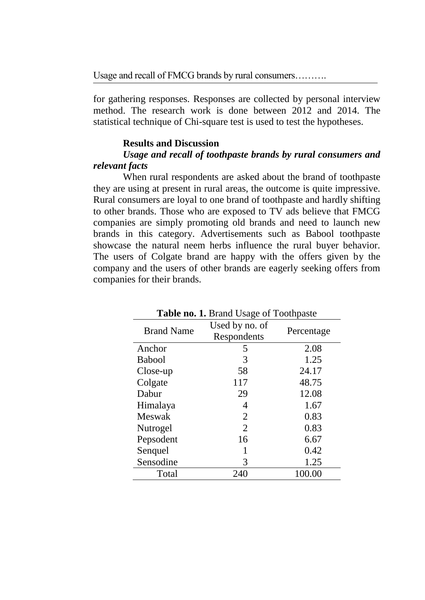for gathering responses. Responses are collected by personal interview method. The research work is done between 2012 and 2014. The statistical technique of Chi-square test is used to test the hypotheses.

#### **Results and Discussion**

### *Usage and recall of toothpaste brands by rural consumers and relevant facts*

When rural respondents are asked about the brand of toothpaste they are using at present in rural areas, the outcome is quite impressive. Rural consumers are loyal to one brand of toothpaste and hardly shifting to other brands. Those who are exposed to TV ads believe that FMCG companies are simply promoting old brands and need to launch new brands in this category. Advertisements such as Babool toothpaste showcase the natural neem herbs influence the rural buyer behavior. The users of Colgate brand are happy with the offers given by the company and the users of other brands are eagerly seeking offers from companies for their brands.

| <b>Table no. 1. Brand Usage of Toothpaste</b> |                |            |  |  |  |
|-----------------------------------------------|----------------|------------|--|--|--|
| <b>Brand Name</b>                             | Used by no. of | Percentage |  |  |  |
|                                               | Respondents    |            |  |  |  |
| Anchor                                        | 5              | 2.08       |  |  |  |
| <b>Babool</b>                                 | 3              | 1.25       |  |  |  |
| Close-up                                      | 58             | 24.17      |  |  |  |
| Colgate                                       | 117            | 48.75      |  |  |  |
| Dabur                                         | 29             | 12.08      |  |  |  |
| Himalaya                                      | 4              | 1.67       |  |  |  |
| Meswak                                        | 2              | 0.83       |  |  |  |
| Nutrogel                                      | 2              | 0.83       |  |  |  |
| Pepsodent                                     | 16             | 6.67       |  |  |  |
| Senquel                                       | 1              | 0.42       |  |  |  |
| Sensodine                                     | 3              | 1.25       |  |  |  |
| Total                                         | 240            | 100.00     |  |  |  |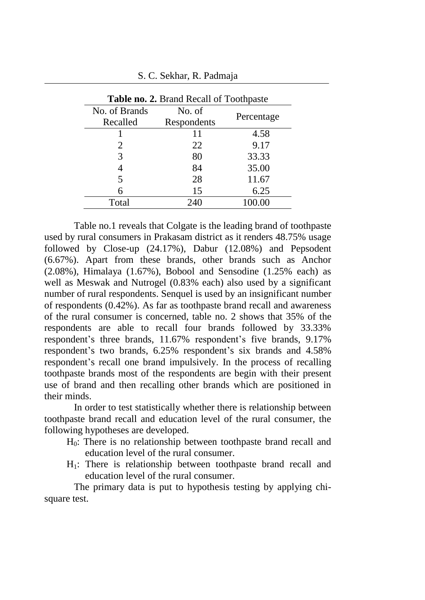|               | <b>Table no. 2. Brand Recall of Toothpaste</b> |            |  |  |  |  |
|---------------|------------------------------------------------|------------|--|--|--|--|
| No. of Brands | No. of                                         |            |  |  |  |  |
| Recalled      | Respondents                                    | Percentage |  |  |  |  |
|               | 11                                             | 4.58       |  |  |  |  |
| 2             | 22                                             | 9.17       |  |  |  |  |
| 3             | 80                                             | 33.33      |  |  |  |  |
|               | 84                                             | 35.00      |  |  |  |  |
| 5             | 28                                             | 11.67      |  |  |  |  |
| 6             | 15                                             | 6.25       |  |  |  |  |
| Total         | 240                                            |            |  |  |  |  |

Table no.1 reveals that Colgate is the leading brand of toothpaste used by rural consumers in Prakasam district as it renders 48.75% usage followed by Close-up (24.17%), Dabur (12.08%) and Pepsodent (6.67%). Apart from these brands, other brands such as Anchor (2.08%), Himalaya (1.67%), Bobool and Sensodine (1.25% each) as well as Meswak and Nutrogel (0.83% each) also used by a significant number of rural respondents. Senquel is used by an insignificant number of respondents (0.42%). As far as toothpaste brand recall and awareness of the rural consumer is concerned, table no. 2 shows that 35% of the respondents are able to recall four brands followed by 33.33% respondent's three brands, 11.67% respondent's five brands, 9.17% respondent's two brands, 6.25% respondent's six brands and 4.58% respondent's recall one brand impulsively. In the process of recalling toothpaste brands most of the respondents are begin with their present use of brand and then recalling other brands which are positioned in their minds.

In order to test statistically whether there is relationship between toothpaste brand recall and education level of the rural consumer, the following hypotheses are developed.

- H0: There is no relationship between toothpaste brand recall and education level of the rural consumer.
- H1: There is relationship between toothpaste brand recall and education level of the rural consumer.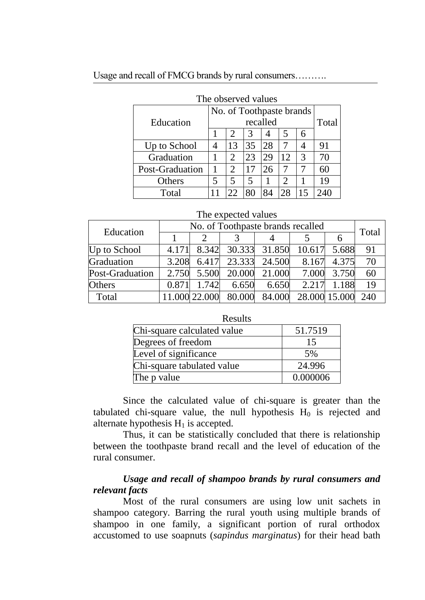| The observed values |   |    |    |          |                          |   |       |
|---------------------|---|----|----|----------|--------------------------|---|-------|
|                     |   |    |    |          | No. of Toothpaste brands |   |       |
| Education           |   |    |    | recalled |                          |   | Total |
|                     |   |    | 3  | 4        | 5                        | 6 |       |
| Up to School        |   | 13 | 35 | 28       |                          |   | 91    |
| Graduation          |   | 2  | 23 | 29       | 12                       | 3 | 70    |
| Post-Graduation     |   | 2  |    | 26       |                          |   | 60    |
| Others              | 5 | 5  | 5  |          |                          |   | 19    |
| Total               |   | つつ | 80 | 84       | 28                       |   |       |

### Usage and recall of FMCG brands by rural consumers……….

#### The expected values

| Education       | No. of Toothpaste brands recalled |               |                                  |               |               |             |       |
|-----------------|-----------------------------------|---------------|----------------------------------|---------------|---------------|-------------|-------|
|                 |                                   |               |                                  |               |               |             | Total |
| Up to School    | 4.171                             |               | 8.342 30.333 31.850 10.617 5.688 |               |               |             | 91    |
| Graduation      | 3.208                             | 6.417         |                                  | 23.333 24.500 | 8.167         | 4.375       | 70    |
| Post-Graduation |                                   |               | 2.750 5.500 20.000 21.000        |               |               | 7.000 3.750 | 60    |
| <b>Others</b>   | 0.871                             | 1.742         | 6.650                            | 6.650         | 2.217         | 1.188       | 19    |
| Total           |                                   | 11.000 22.000 | 80.000 84.000                    |               | 28.000 15.000 |             | 240   |

| Results                     |          |
|-----------------------------|----------|
| Chi-square calculated value | 51.7519  |
| Degrees of freedom          | 15       |
| Level of significance       | 5%       |
| Chi-square tabulated value  | 24.996   |
| The p value                 | 0.000006 |

Since the calculated value of chi-square is greater than the tabulated chi-square value, the null hypothesis  $H_0$  is rejected and alternate hypothesis  $H_1$  is accepted.

Thus, it can be statistically concluded that there is relationship between the toothpaste brand recall and the level of education of the rural consumer.

# *Usage and recall of shampoo brands by rural consumers and relevant facts*

Most of the rural consumers are using low unit sachets in shampoo category. Barring the rural youth using multiple brands of shampoo in one family, a significant portion of rural orthodox accustomed to use soapnuts (*sapindus marginatus*) for their head bath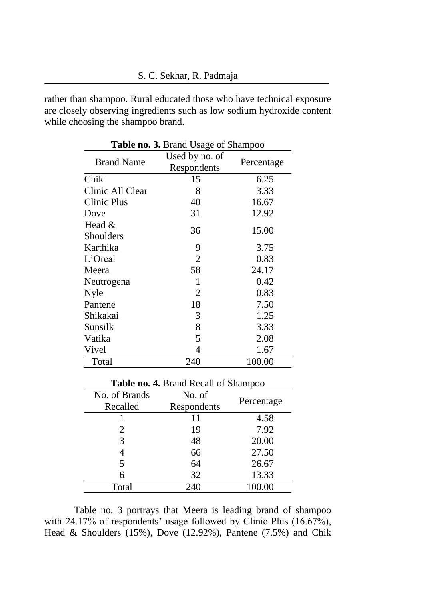rather than shampoo. Rural educated those who have technical exposure are closely observing ingredients such as low sodium hydroxide content while choosing the shampoo brand.

| Used by no. of | Percentage  |  |
|----------------|-------------|--|
| 15             | 6.25        |  |
| 8              | 3.33        |  |
| 40             | 16.67       |  |
| 31             | 12.92       |  |
| 36             | 15.00       |  |
| 9              | 3.75        |  |
| $\overline{2}$ | 0.83        |  |
| 58             | 24.17       |  |
| 1              | 0.42        |  |
| 2              | 0.83        |  |
| 18             | 7.50        |  |
| 3              | 1.25        |  |
| 8              | 3.33        |  |
| 5              | 2.08        |  |
| 4              | 1.67        |  |
| 240            | 100.00      |  |
|                | Respondents |  |

**Table no. 3.** Brand Usage of Shampoo

| <b>Table no. 4. Brand Recall of Shampoo</b> |             |            |  |  |  |  |
|---------------------------------------------|-------------|------------|--|--|--|--|
| No. of Brands                               | No. of      |            |  |  |  |  |
| Recalled                                    | Respondents | Percentage |  |  |  |  |
|                                             |             | 4.58       |  |  |  |  |
| $\mathcal{D}_{\cdot}$                       | 19          | 7.92       |  |  |  |  |
| 3                                           | 48          | 20.00      |  |  |  |  |
|                                             | 66          | 27.50      |  |  |  |  |
| 5                                           | 64          | 26.67      |  |  |  |  |
|                                             | 32          | 13.33      |  |  |  |  |
| Total                                       | 240         |            |  |  |  |  |

Table no. 3 portrays that Meera is leading brand of shampoo with 24.17% of respondents' usage followed by Clinic Plus (16.67%), Head & Shoulders (15%), Dove (12.92%), Pantene (7.5%) and Chik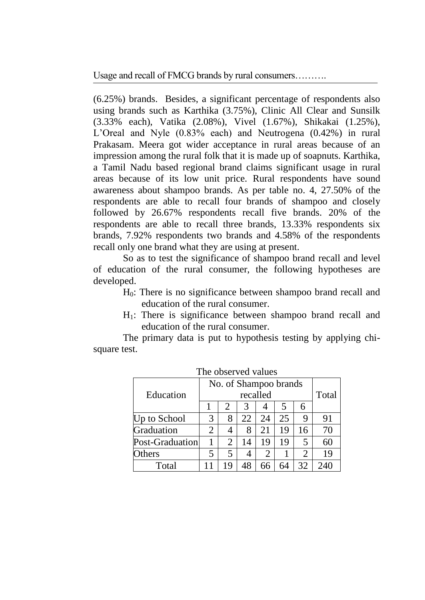Usage and recall of FMCG brands by rural consumers……….

(6.25%) brands. Besides, a significant percentage of respondents also using brands such as Karthika (3.75%), Clinic All Clear and Sunsilk (3.33% each), Vatika (2.08%), Vivel (1.67%), Shikakai (1.25%), L'Oreal and Nyle (0.83% each) and Neutrogena (0.42%) in rural Prakasam. Meera got wider acceptance in rural areas because of an impression among the rural folk that it is made up of soapnuts. Karthika, a Tamil Nadu based regional brand claims significant usage in rural areas because of its low unit price. Rural respondents have sound awareness about shampoo brands. As per table no. 4, 27.50% of the respondents are able to recall four brands of shampoo and closely followed by 26.67% respondents recall five brands. 20% of the respondents are able to recall three brands, 13.33% respondents six brands, 7.92% respondents two brands and 4.58% of the respondents recall only one brand what they are using at present.

So as to test the significance of shampoo brand recall and level of education of the rural consumer, the following hypotheses are developed.

- H0: There is no significance between shampoo brand recall and education of the rural consumer.
- $H_1$ : There is significance between shampoo brand recall and education of the rural consumer.

|                 | No. of Shampoo brands |    |          |    |    |                |       |
|-----------------|-----------------------|----|----------|----|----|----------------|-------|
| Education       |                       |    | recalled |    |    |                | Total |
|                 |                       |    | 3        |    |    | 6              |       |
| Up to School    | 3                     | 8  | 22       | 24 | 25 | 9              | 91    |
| Graduation      | 2                     |    | 8        | 21 | 19 | 16             | 70    |
| Post-Graduation |                       | 2  | 14       | 19 | 19 | 5              | 60    |
| <b>Others</b>   |                       | 5  | 4        |    |    | $\overline{2}$ | 19    |
| Total           |                       | 19 |          | 66 | 64 | 32             | 240   |

The observed values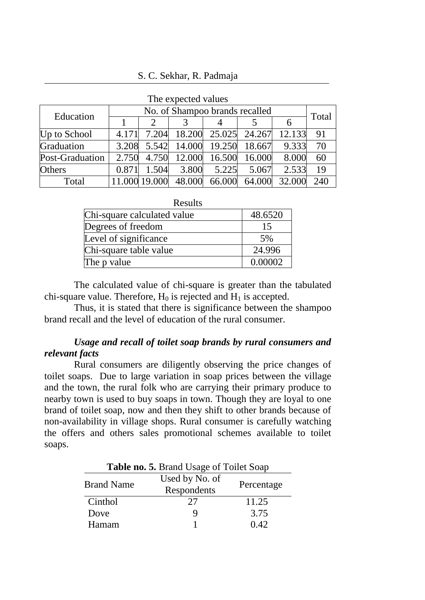16 S. C. Sekhar, R. Padmaja

| THE CAPECICA VAIDES |                                |               |        |                      |        |        |     |
|---------------------|--------------------------------|---------------|--------|----------------------|--------|--------|-----|
| Education           | No. of Shampoo brands recalled |               |        |                      |        | Total  |     |
|                     |                                |               |        |                      |        | 6      |     |
| Up to School        | 4.171                          | 7.204         |        | 18.200 25.025 24.267 |        | 12.133 | 91  |
| Graduation          | 3.208                          | 5.542         |        | 14.000 19.250        | 18.667 | 9.333  | 70  |
| Post-Graduation     | 2.750                          | 4.750         |        | 12.000 16.500        | 16.000 | 8.000  | 60  |
| Others              | 0.871                          | 1.504         | 3.800  | 5.225                | 5.067  | 2.533  | 19  |
| Total               |                                | 11.000 19.000 | 48.000 | 66.000               | 64.000 | 32.000 | 240 |

| The expected values |  |  |
|---------------------|--|--|
|---------------------|--|--|

| Results                     |         |
|-----------------------------|---------|
| Chi-square calculated value | 48.6520 |
| Degrees of freedom          | 15      |
| Level of significance       | 5%      |
| Chi-square table value      | 24.996  |
| The p value                 | 0.00002 |

The calculated value of chi-square is greater than the tabulated chi-square value. Therefore,  $H_0$  is rejected and  $H_1$  is accepted.

Thus, it is stated that there is significance between the shampoo brand recall and the level of education of the rural consumer.

### *Usage and recall of toilet soap brands by rural consumers and relevant facts*

Rural consumers are diligently observing the price changes of toilet soaps. Due to large variation in soap prices between the village and the town, the rural folk who are carrying their primary produce to nearby town is used to buy soaps in town. Though they are loyal to one brand of toilet soap, now and then they shift to other brands because of non-availability in village shops. Rural consumer is carefully watching the offers and others sales promotional schemes available to toilet soaps.

| Table no. 5. Brand Usage of Toilet Soap |                |            |  |  |  |
|-----------------------------------------|----------------|------------|--|--|--|
| <b>Brand Name</b>                       | Used by No. of | Percentage |  |  |  |
|                                         | Respondents    |            |  |  |  |
| Cinthol                                 | 27             | 11.25      |  |  |  |
| Dove                                    | 9              | 3.75       |  |  |  |
| Hamam                                   |                | 0.42       |  |  |  |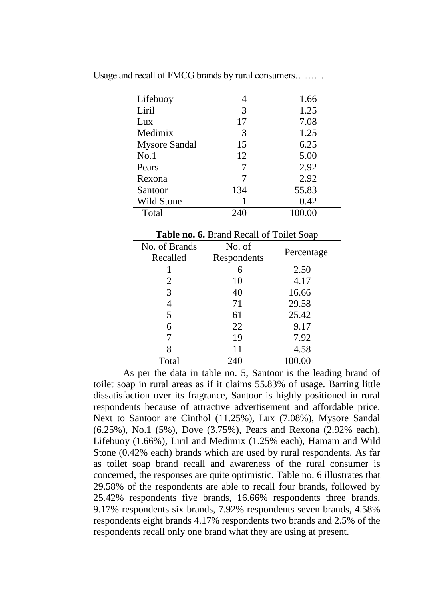| Lifebuoy             | 4   | 1.66   |
|----------------------|-----|--------|
| Liril                | 3   | 1.25   |
| Lux                  | 17  | 7.08   |
| Medimix              | 3   | 1.25   |
| <b>Mysore Sandal</b> | 15  | 6.25   |
| No.1                 | 12  | 5.00   |
| Pears                |     | 2.92   |
| Rexona               |     | 2.92   |
| Santoor              | 134 | 55.83  |
| Wild Stone           |     | 0.42   |
| Total                |     | 100.00 |

| Table no. 6. Brand Recall of Toilet Soap |             |            |  |  |  |  |
|------------------------------------------|-------------|------------|--|--|--|--|
| No. of Brands                            | No. of      |            |  |  |  |  |
| Recalled                                 | Respondents | Percentage |  |  |  |  |
|                                          | 6           | 2.50       |  |  |  |  |
| 2                                        | 10          | 4.17       |  |  |  |  |
| 3                                        | 40          | 16.66      |  |  |  |  |
| 4                                        | 71          | 29.58      |  |  |  |  |
| 5                                        | 61          | 25.42      |  |  |  |  |
| 6                                        | 22          | 9.17       |  |  |  |  |
|                                          | 19          | 7.92       |  |  |  |  |
| 8                                        | 11          | 4.58       |  |  |  |  |
| Total                                    | 240         | 100.00     |  |  |  |  |

As per the data in table no. 5, Santoor is the leading brand of toilet soap in rural areas as if it claims 55.83% of usage. Barring little dissatisfaction over its fragrance, Santoor is highly positioned in rural respondents because of attractive advertisement and affordable price. Next to Santoor are Cinthol (11.25%), Lux (7.08%), Mysore Sandal (6.25%), No.1 (5%), Dove (3.75%), Pears and Rexona (2.92% each), Lifebuoy (1.66%), Liril and Medimix (1.25% each), Hamam and Wild Stone (0.42% each) brands which are used by rural respondents. As far as toilet soap brand recall and awareness of the rural consumer is concerned, the responses are quite optimistic. Table no. 6 illustrates that 29.58% of the respondents are able to recall four brands, followed by 25.42% respondents five brands, 16.66% respondents three brands, 9.17% respondents six brands, 7.92% respondents seven brands, 4.58% respondents eight brands 4.17% respondents two brands and 2.5% of the respondents recall only one brand what they are using at present.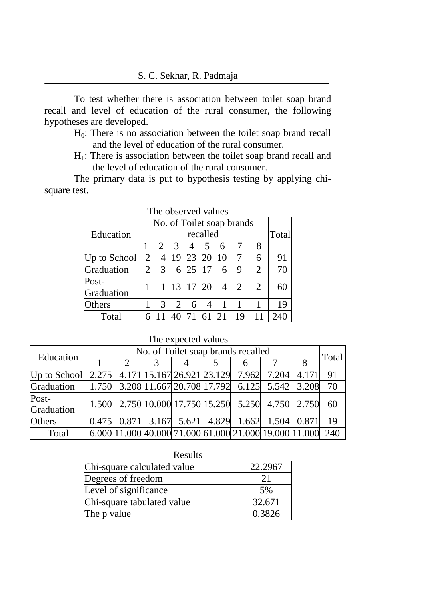To test whether there is association between toilet soap brand recall and level of education of the rural consumer, the following hypotheses are developed.

- H0: There is no association between the toilet soap brand recall and the level of education of the rural consumer.
- H1: There is association between the toilet soap brand recall and the level of education of the rural consumer.

The primary data is put to hypothesis testing by applying chisquare test.

| The observed values |                |   |                |    |          |    |                           |                       |       |
|---------------------|----------------|---|----------------|----|----------|----|---------------------------|-----------------------|-------|
|                     |                |   |                |    |          |    | No. of Toilet soap brands |                       |       |
| Education           |                |   |                |    | recalled |    |                           |                       | Total |
|                     |                |   | 3              | 4  | 5        | 6  |                           | 8                     |       |
| Up to School        | 2              | 4 | 19             | 23 | 20       | 10 |                           | 6                     | 91    |
| Graduation          | $\overline{2}$ | 3 | 6              | 25 | 17       | 6  | 9                         | 2                     | 70    |
| Post-               |                |   | 13 17          |    | 20       | 4  | $\overline{2}$            | $\mathcal{D}_{\cdot}$ | 60    |
| Graduation          |                |   |                |    |          |    |                           |                       |       |
| Others              |                | 3 | $\overline{2}$ | 6  | 4        | 1  |                           |                       | 19    |
| Total               |                |   |                |    | 61       |    | 19                        |                       | 240   |

The observed values

| Education                                                                                                               | No. of Toilet soap brands recalled |               |  |  |                                                            |  |  |       |
|-------------------------------------------------------------------------------------------------------------------------|------------------------------------|---------------|--|--|------------------------------------------------------------|--|--|-------|
|                                                                                                                         |                                    | $\mathcal{D}$ |  |  |                                                            |  |  | Total |
| Up to School $\begin{bmatrix} 2.275 \\ 4.171 \\ 15.167 \\ 26.921 \\ 23.129 \\ 7.962 \\ 7.204 \\ 4.171 \\ \end{bmatrix}$ |                                    |               |  |  |                                                            |  |  | 91    |
| Graduation                                                                                                              |                                    |               |  |  | $\mid$ 1.750 3.208 11.667 20.708 17.792 6.125 5.542 3.208  |  |  | 70    |
| Post-<br>Graduation                                                                                                     |                                    |               |  |  | 1.500 2.750 10.000 17.750 15.250 5.250 4.750 2.750         |  |  | 60    |
| <b>Others</b>                                                                                                           | 0.475                              |               |  |  | $0.871$ 3.167 5.621 4.829 1.662 1.504 0.871                |  |  | 19    |
| Total                                                                                                                   |                                    |               |  |  | 6.000 11.000 40.000 71.000 61.000 21.000 19.000 11.000 240 |  |  |       |

The expected values

| results                     |         |  |  |  |  |
|-----------------------------|---------|--|--|--|--|
| Chi-square calculated value | 22.2967 |  |  |  |  |
| Degrees of freedom          | 21      |  |  |  |  |
| Level of significance       | 5%      |  |  |  |  |
| Chi-square tabulated value  | 32.671  |  |  |  |  |
| The p value                 | 0.3826  |  |  |  |  |

 $D_{\text{scult}}$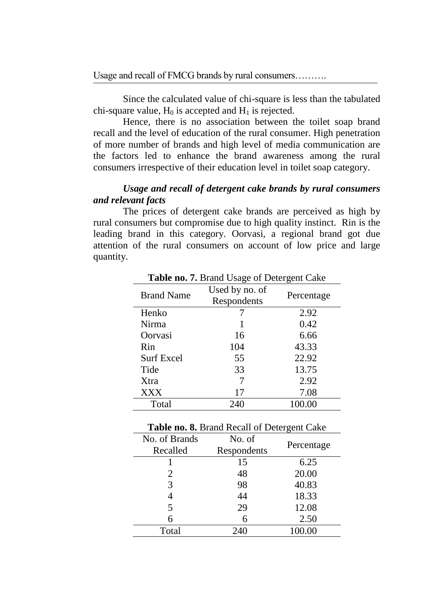Since the calculated value of chi-square is less than the tabulated chi-square value,  $H_0$  is accepted and  $H_1$  is rejected.

Hence, there is no association between the toilet soap brand recall and the level of education of the rural consumer. High penetration of more number of brands and high level of media communication are the factors led to enhance the brand awareness among the rural consumers irrespective of their education level in toilet soap category.

# *Usage and recall of detergent cake brands by rural consumers and relevant facts*

The prices of detergent cake brands are perceived as high by rural consumers but compromise due to high quality instinct. Rin is the leading brand in this category. Oorvasi, a regional brand got due attention of the rural consumers on account of low price and large quantity.

| <b>Brand Name</b> | Used by no. of<br>Respondents | Percentage |  |  |
|-------------------|-------------------------------|------------|--|--|
| Henko             |                               | 2.92       |  |  |
| Nirma             |                               | 0.42       |  |  |
| Oorvasi           | 16                            | 6.66       |  |  |
| Rin               | 104                           | 43.33      |  |  |
| <b>Surf Excel</b> | 55                            | 22.92      |  |  |
| Tide              | 33                            | 13.75      |  |  |
| Xtra              |                               | 2.92       |  |  |
| <b>XXX</b>        | 17                            | 7.08       |  |  |
| Total             | 240                           | 100.00     |  |  |

**Table no. 7.** Brand Usage of Detergent Cake

| Table no. 8. Brand Recall of Detergent Cake |             |            |  |  |  |  |
|---------------------------------------------|-------------|------------|--|--|--|--|
| No. of Brands                               | No. of      |            |  |  |  |  |
| Recalled                                    | Respondents | Percentage |  |  |  |  |
|                                             | 15          | 6.25       |  |  |  |  |
| 2                                           | 48          | 20.00      |  |  |  |  |
| 3                                           | 98          | 40.83      |  |  |  |  |
|                                             | 44          | 18.33      |  |  |  |  |
| 5                                           | 29          | 12.08      |  |  |  |  |
|                                             | 6           | 2.50       |  |  |  |  |
| Total                                       | 240         | 100.00     |  |  |  |  |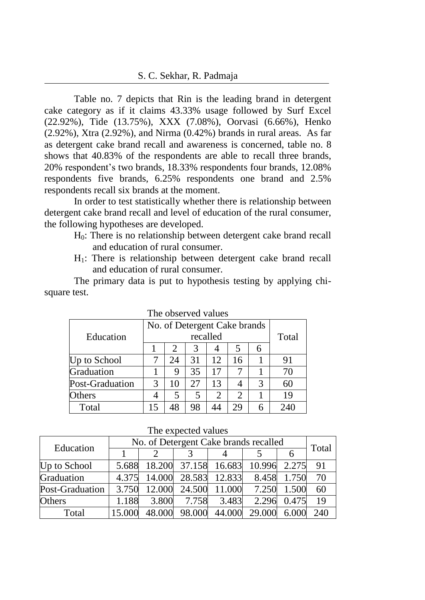Table no. 7 depicts that Rin is the leading brand in detergent cake category as if it claims 43.33% usage followed by Surf Excel (22.92%), Tide (13.75%), XXX (7.08%), Oorvasi (6.66%), Henko (2.92%), Xtra (2.92%), and Nirma (0.42%) brands in rural areas. As far as detergent cake brand recall and awareness is concerned, table no. 8 shows that 40.83% of the respondents are able to recall three brands, 20% respondent's two brands, 18.33% respondents four brands, 12.08% respondents five brands, 6.25% respondents one brand and 2.5% respondents recall six brands at the moment.

In order to test statistically whether there is relationship between detergent cake brand recall and level of education of the rural consumer, the following hypotheses are developed.

- H0: There is no relationship between detergent cake brand recall and education of rural consumer.
- $H_1$ : There is relationship between detergent cake brand recall and education of rural consumer.

| THE UDSCIVED VAIDES |                              |    |          |    |    |   |       |
|---------------------|------------------------------|----|----------|----|----|---|-------|
|                     | No. of Detergent Cake brands |    |          |    |    |   |       |
| Education           |                              |    | recalled |    |    |   | Total |
|                     |                              |    | 3        |    | 5  | 6 |       |
| Up to School        |                              | 24 | 31       | 12 | 16 |   | 91    |
| Graduation          |                              | 9  | 35       | 17 |    |   | 70    |
| Post-Graduation     | 3                            | 10 | 27       | 13 |    | 3 | 60    |
| Others              |                              | 5  | 5        | 2  | 2  |   | 19    |
| Total               |                              | 48 | 98       | 44 | 29 | 6 | 240   |

The observed values

The expected values

| Education       | No. of Detergent Cake brands recalled |        |               |                      |        |             |       |  |
|-----------------|---------------------------------------|--------|---------------|----------------------|--------|-------------|-------|--|
|                 |                                       |        |               |                      |        |             | Total |  |
| Up to School    | 5.688                                 |        |               | 18.200 37.158 16.683 | 10.996 | 2.275       | 91    |  |
| Graduation      | 4.375                                 |        | 14.000 28.583 | 12.833               |        | 8.458 1.750 | 70    |  |
| Post-Graduation | 3.750                                 |        | 12.000 24.500 | 11.000               | 7.250  | 1.500       | 60    |  |
| Others          | 1.188                                 | 3.800  | 7.758         | 3.483                |        | 2.296 0.475 | 19    |  |
| Total           | 15.000                                | 48.000 | 98.000        | 44.000               | 29.000 | 6.000       | 240   |  |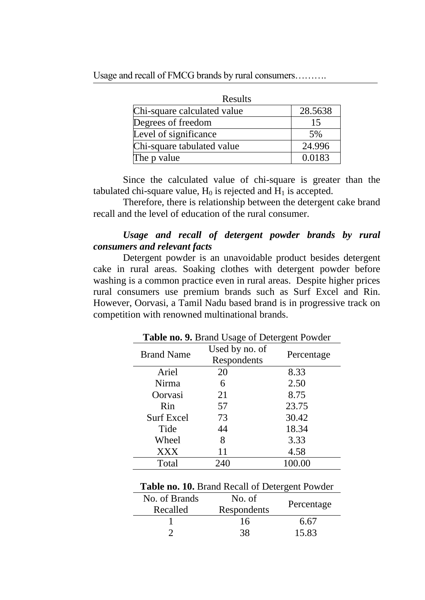| Results                     |         |  |  |  |
|-----------------------------|---------|--|--|--|
| Chi-square calculated value | 28.5638 |  |  |  |
| Degrees of freedom          | 15      |  |  |  |
| Level of significance       | 5%      |  |  |  |
| Chi-square tabulated value  | 24.996  |  |  |  |
| The p value                 | 0.0183  |  |  |  |

Since the calculated value of chi-square is greater than the tabulated chi-square value,  $H_0$  is rejected and  $H_1$  is accepted.

Therefore, there is relationship between the detergent cake brand recall and the level of education of the rural consumer.

# *Usage and recall of detergent powder brands by rural consumers and relevant facts*

Detergent powder is an unavoidable product besides detergent cake in rural areas. Soaking clothes with detergent powder before washing is a common practice even in rural areas. Despite higher prices rural consumers use premium brands such as Surf Excel and Rin. However, Oorvasi, a Tamil Nadu based brand is in progressive track on competition with renowned multinational brands.

| <b>Lattle Ho. 2.</b> Diality Usage of Detergent I Owner |                               |        |  |  |  |  |
|---------------------------------------------------------|-------------------------------|--------|--|--|--|--|
| <b>Brand Name</b>                                       | Used by no. of<br>Respondents |        |  |  |  |  |
| Ariel                                                   | 20                            | 8.33   |  |  |  |  |
| Nirma                                                   | 6                             | 2.50   |  |  |  |  |
| Oorvasi                                                 | 21                            | 8.75   |  |  |  |  |
| Rin                                                     | 57                            | 23.75  |  |  |  |  |
| <b>Surf Excel</b>                                       | 73                            | 30.42  |  |  |  |  |
| Tide                                                    | 44                            | 18.34  |  |  |  |  |
| Wheel                                                   | 8                             | 3.33   |  |  |  |  |
| <b>XXX</b>                                              | 11                            | 4.58   |  |  |  |  |
| Total                                                   | 240                           | 100.00 |  |  |  |  |

**Table no. 9.** Brand Usage of Detergent Powder

| Table no. 10. Brand Recall of Detergent Powder |  |  |  |  |  |  |
|------------------------------------------------|--|--|--|--|--|--|
|------------------------------------------------|--|--|--|--|--|--|

| No. of Brands<br>Recalled | No. of<br>Respondents | Percentage |
|---------------------------|-----------------------|------------|
|                           | 16                    | 6.67       |
|                           | 38                    | 15.83      |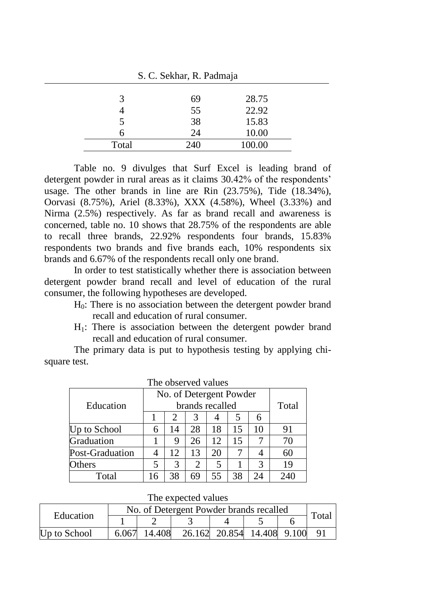| $\mathcal{D}$ . C. DUAIIAI, R. Fauillaja |     |        |  |  |  |
|------------------------------------------|-----|--------|--|--|--|
|                                          |     |        |  |  |  |
| 3                                        | 69  | 28.75  |  |  |  |
|                                          | 55  | 22.92  |  |  |  |
|                                          | 38  | 15.83  |  |  |  |
| h                                        | 24  | 10.00  |  |  |  |
| Total                                    | 240 | 100.00 |  |  |  |

 $C$   $C$  Sokhar,  $D$  Dadmaia

Table no. 9 divulges that Surf Excel is leading brand of detergent powder in rural areas as it claims 30.42% of the respondents' usage. The other brands in line are Rin (23.75%), Tide (18.34%), Oorvasi (8.75%), Ariel (8.33%), XXX (4.58%), Wheel (3.33%) and Nirma (2.5%) respectively. As far as brand recall and awareness is concerned, table no. 10 shows that 28.75% of the respondents are able to recall three brands, 22.92% respondents four brands, 15.83% respondents two brands and five brands each, 10% respondents six brands and 6.67% of the respondents recall only one brand.

In order to test statistically whether there is association between detergent powder brand recall and level of education of the rural consumer, the following hypotheses are developed.

- H0: There is no association between the detergent powder brand recall and education of rural consumer.
- $H_1$ : There is association between the detergent powder brand recall and education of rural consumer.

|                 | No. of Detergent Powder |    |    |                 |    |    |       |
|-----------------|-------------------------|----|----|-----------------|----|----|-------|
| Education       |                         |    |    | brands recalled |    |    | Total |
|                 |                         | 2  | 3  |                 | 5  | 6  |       |
| Up to School    | 6                       | 14 | 28 | 18              | 15 | 10 | 91    |
| Graduation      |                         | 9  | 26 | 12              | 15 |    | 70    |
| Post-Graduation |                         | 12 | 13 | 20              |    |    | 60    |
| Others          | 5                       | 3  | 2  | 5               |    | 3  | 19    |
| Total           | 16                      | 38 | 69 | 55              | 38 | 24 | 240   |

|  | The observed values |  |
|--|---------------------|--|
|--|---------------------|--|

The expected values

| No. of Detergent Powder brands recalled<br>Education |       |        |  |                            |  | Total |                |
|------------------------------------------------------|-------|--------|--|----------------------------|--|-------|----------------|
|                                                      |       |        |  |                            |  |       |                |
| Up to School                                         | 6.067 | 14.408 |  | 26.162 20.854 14.408 9.100 |  |       | Q <sub>1</sub> |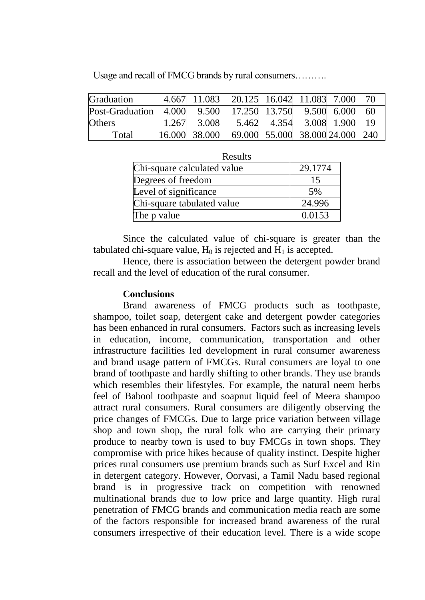Usage and recall of FMCG brands by rural consumers……….

| Graduation      |        | 4.667 11.083 | 20.125 16.042 11.083 7.000 |                             |             | 70    |
|-----------------|--------|--------------|----------------------------|-----------------------------|-------------|-------|
| Post-Graduation | 4.000  | 9.500        |                            | 17.250 13.750               | 9.500 6.000 | -60   |
| <b>Others</b>   | 1.267  | 3.008        | 5.462                      | 4.354                       | 3.008 1.900 | - 1 Q |
| Total           | 16.000 | 38.000       |                            | 69.000 55.000 38.000 24.000 |             | - 240 |

| Results                     |         |  |  |  |  |
|-----------------------------|---------|--|--|--|--|
| Chi-square calculated value | 29.1774 |  |  |  |  |
| Degrees of freedom          | 15      |  |  |  |  |
| Level of significance       | 5%      |  |  |  |  |
| Chi-square tabulated value  | 24.996  |  |  |  |  |
| The p value                 | 0.0153  |  |  |  |  |

Since the calculated value of chi-square is greater than the tabulated chi-square value,  $H_0$  is rejected and  $H_1$  is accepted.

Hence, there is association between the detergent powder brand recall and the level of education of the rural consumer.

#### **Conclusions**

Brand awareness of FMCG products such as toothpaste, shampoo, toilet soap, detergent cake and detergent powder categories has been enhanced in rural consumers. Factors such as increasing levels in education, income, communication, transportation and other infrastructure facilities led development in rural consumer awareness and brand usage pattern of FMCGs. Rural consumers are loyal to one brand of toothpaste and hardly shifting to other brands. They use brands which resembles their lifestyles. For example, the natural neem herbs feel of Babool toothpaste and soapnut liquid feel of Meera shampoo attract rural consumers. Rural consumers are diligently observing the price changes of FMCGs. Due to large price variation between village shop and town shop, the rural folk who are carrying their primary produce to nearby town is used to buy FMCGs in town shops. They compromise with price hikes because of quality instinct. Despite higher prices rural consumers use premium brands such as Surf Excel and Rin in detergent category. However, Oorvasi, a Tamil Nadu based regional brand is in progressive track on competition with renowned multinational brands due to low price and large quantity. High rural penetration of FMCG brands and communication media reach are some of the factors responsible for increased brand awareness of the rural consumers irrespective of their education level. There is a wide scope